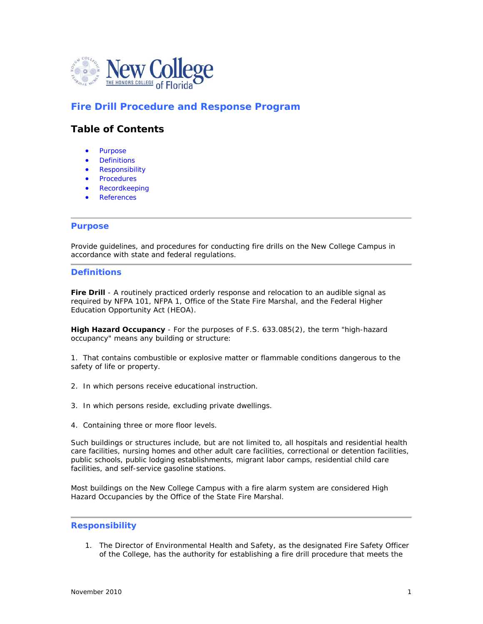

# **Fire Drill Procedure and Response Program**

## **Table of Contents**

- Purpose
- **Definitions**
- Responsibility
- Procedures
- Recordkeeping
- References

#### **Purpose**

Provide guidelines, and procedures for conducting fire drills on the New College Campus in accordance with state and federal regulations.

#### **Definitions**

**Fire Drill** - A routinely practiced orderly response and relocation to an audible signal as required by NFPA 101, NFPA 1, Office of the State Fire Marshal, and the Federal Higher Education Opportunity Act (HEOA).

**High Hazard Occupancy** - For the purposes of F.S. 633.085(2), the term "high-hazard occupancy" means any building or structure:

1. That contains combustible or explosive matter or flammable conditions dangerous to the safety of life or property.

- 2. In which persons receive educational instruction.
- 3. In which persons reside, excluding private dwellings.
- 4. Containing three or more floor levels.

Such buildings or structures include, but are not limited to, all hospitals and residential health care facilities, nursing homes and other adult care facilities, correctional or detention facilities, public schools, public lodging establishments, migrant labor camps, residential child care facilities, and self-service gasoline stations.

Most buildings on the New College Campus with a fire alarm system are considered High Hazard Occupancies by the Office of the State Fire Marshal.

#### **Responsibility**

1. The Director of Environmental Health and Safety, as the designated Fire Safety Officer of the College, has the authority for establishing a fire drill procedure that meets the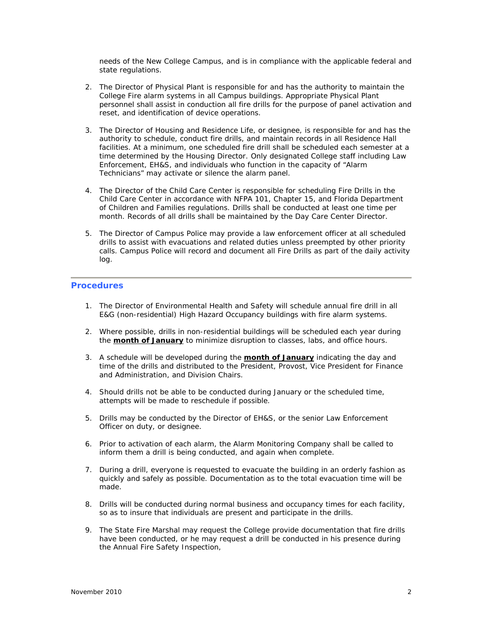needs of the New College Campus, and is in compliance with the applicable federal and state regulations.

- 2. The Director of Physical Plant is responsible for and has the authority to maintain the College Fire alarm systems in all Campus buildings. Appropriate Physical Plant personnel shall assist in conduction all fire drills for the purpose of panel activation and reset, and identification of device operations.
- 3. The Director of Housing and Residence Life, or designee, is responsible for and has the authority to schedule, conduct fire drills, and maintain records in all Residence Hall facilities. At a minimum, one scheduled fire drill shall be scheduled each semester at a time determined by the Housing Director. Only designated College staff including Law Enforcement, EH&S, and individuals who function in the capacity of "Alarm Technicians" may activate or silence the alarm panel.
- 4. The Director of the Child Care Center is responsible for scheduling Fire Drills in the Child Care Center in accordance with NFPA 101, Chapter 15, and Florida Department of Children and Families regulations. Drills shall be conducted at least one time per month. Records of all drills shall be maintained by the Day Care Center Director.
- 5. The Director of Campus Police may provide a law enforcement officer at all scheduled drills to assist with evacuations and related duties unless preempted by other priority calls. Campus Police will record and document all Fire Drills as part of the daily activity log.

## **Procedures**

- 1. The Director of Environmental Health and Safety will schedule annual fire drill in all E&G (non-residential) High Hazard Occupancy buildings with fire alarm systems.
- 2. Where possible, drills in non-residential buildings will be scheduled each year during the **month of January** to minimize disruption to classes, labs, and office hours.
- 3. A schedule will be developed during the **month of January** indicating the day and time of the drills and distributed to the President, Provost, Vice President for Finance and Administration, and Division Chairs.
- 4. Should drills not be able to be conducted during January or the scheduled time, attempts will be made to reschedule if possible.
- 5. Drills may be conducted by the Director of EH&S, or the senior Law Enforcement Officer on duty, or designee.
- 6. Prior to activation of each alarm, the Alarm Monitoring Company shall be called to inform them a drill is being conducted, and again when complete.
- 7. During a drill, everyone is requested to evacuate the building in an orderly fashion as quickly and safely as possible. Documentation as to the total evacuation time will be made.
- 8. Drills will be conducted during normal business and occupancy times for each facility, so as to insure that individuals are present and participate in the drills.
- 9. The State Fire Marshal may request the College provide documentation that fire drills have been conducted, or he may request a drill be conducted in his presence during the Annual Fire Safety Inspection,